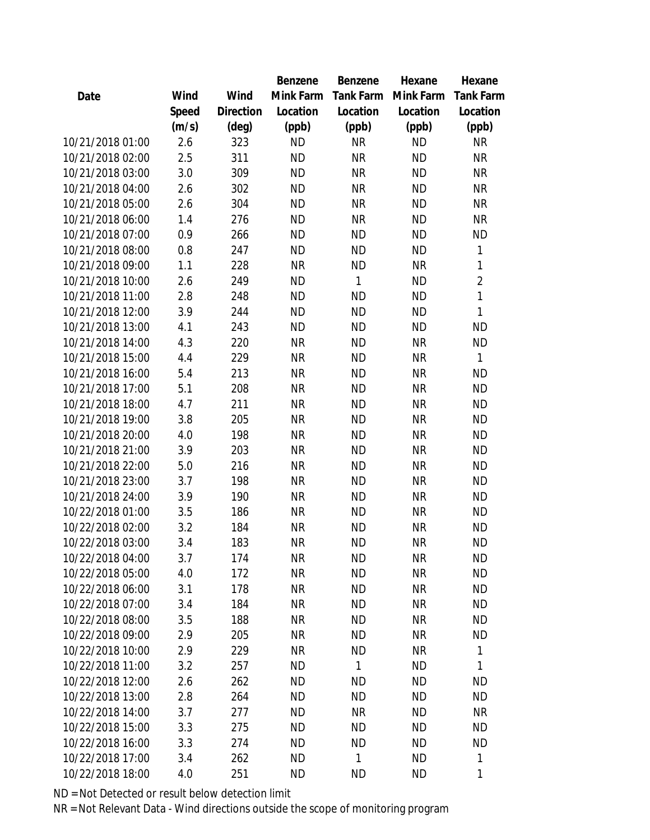|                  |       |                | Benzene   | Benzene   | Hexane    | Hexane           |
|------------------|-------|----------------|-----------|-----------|-----------|------------------|
| Date             | Wind  | Wind           | Mink Farm | Tank Farm | Mink Farm | <b>Tank Farm</b> |
|                  | Speed | Direction      | Location  | Location  | Location  | Location         |
|                  | (m/s) | $(\text{deg})$ | (ppb)     | (ppb)     | (ppb)     | (ppb)            |
| 10/21/2018 01:00 | 2.6   | 323            | <b>ND</b> | <b>NR</b> | <b>ND</b> | <b>NR</b>        |
| 10/21/2018 02:00 | 2.5   | 311            | <b>ND</b> | <b>NR</b> | <b>ND</b> | <b>NR</b>        |
| 10/21/2018 03:00 | 3.0   | 309            | <b>ND</b> | <b>NR</b> | <b>ND</b> | <b>NR</b>        |
| 10/21/2018 04:00 | 2.6   | 302            | <b>ND</b> | <b>NR</b> | <b>ND</b> | <b>NR</b>        |
| 10/21/2018 05:00 | 2.6   | 304            | <b>ND</b> | <b>NR</b> | <b>ND</b> | <b>NR</b>        |
| 10/21/2018 06:00 | 1.4   | 276            | <b>ND</b> | <b>NR</b> | <b>ND</b> | <b>NR</b>        |
| 10/21/2018 07:00 | 0.9   | 266            | <b>ND</b> | <b>ND</b> | <b>ND</b> | ΝD               |
| 10/21/2018 08:00 | 0.8   | 247            | <b>ND</b> | <b>ND</b> | <b>ND</b> | 1                |
| 10/21/2018 09:00 | 1.1   | 228            | <b>NR</b> | <b>ND</b> | <b>NR</b> | 1                |
| 10/21/2018 10:00 | 2.6   | 249            | <b>ND</b> | 1         | <b>ND</b> | $\overline{2}$   |
| 10/21/2018 11:00 | 2.8   | 248            | <b>ND</b> | <b>ND</b> | <b>ND</b> | 1                |
| 10/21/2018 12:00 | 3.9   | 244            | <b>ND</b> | ΝD        | <b>ND</b> | 1                |
| 10/21/2018 13:00 | 4.1   | 243            | <b>ND</b> | <b>ND</b> | <b>ND</b> | <b>ND</b>        |
| 10/21/2018 14:00 | 4.3   | 220            | <b>NR</b> | <b>ND</b> | <b>NR</b> | <b>ND</b>        |
| 10/21/2018 15:00 | 4.4   | 229            | <b>NR</b> | <b>ND</b> | <b>NR</b> | 1                |
| 10/21/2018 16:00 | 5.4   | 213            | <b>NR</b> | <b>ND</b> | <b>NR</b> | <b>ND</b>        |
| 10/21/2018 17:00 | 5.1   | 208            | <b>NR</b> | <b>ND</b> | <b>NR</b> | <b>ND</b>        |
| 10/21/2018 18:00 | 4.7   | 211            | <b>NR</b> | <b>ND</b> | <b>NR</b> | <b>ND</b>        |
| 10/21/2018 19:00 | 3.8   | 205            | <b>NR</b> | <b>ND</b> | <b>NR</b> | <b>ND</b>        |
| 10/21/2018 20:00 | 4.0   | 198            | <b>NR</b> | <b>ND</b> | <b>NR</b> | <b>ND</b>        |
| 10/21/2018 21:00 | 3.9   | 203            | <b>NR</b> | <b>ND</b> | <b>NR</b> | <b>ND</b>        |
| 10/21/2018 22:00 | 5.0   | 216            | <b>NR</b> | <b>ND</b> | <b>NR</b> | <b>ND</b>        |
| 10/21/2018 23:00 | 3.7   | 198            | <b>NR</b> | <b>ND</b> | <b>NR</b> | <b>ND</b>        |
| 10/21/2018 24:00 | 3.9   | 190            | <b>NR</b> | <b>ND</b> | <b>NR</b> | <b>ND</b>        |
| 10/22/2018 01:00 | 3.5   | 186            | <b>NR</b> | <b>ND</b> | <b>NR</b> | <b>ND</b>        |
| 10/22/2018 02:00 | 3.2   | 184            | <b>NR</b> | ΝD        | <b>NR</b> | <b>ND</b>        |
| 10/22/2018 03:00 | 3.4   | 183            | <b>NR</b> | ΝD        | <b>NR</b> | <b>ND</b>        |
| 10/22/2018 04:00 | 3.7   | 174            | <b>NR</b> | ΝD        | <b>NR</b> | <b>ND</b>        |
| 10/22/2018 05:00 | 4.0   | 172            | <b>NR</b> | <b>ND</b> | <b>NR</b> | <b>ND</b>        |
| 10/22/2018 06:00 | 3.1   | 178            | <b>NR</b> | <b>ND</b> | <b>NR</b> | <b>ND</b>        |
| 10/22/2018 07:00 | 3.4   | 184            | <b>NR</b> | <b>ND</b> | <b>NR</b> | <b>ND</b>        |
| 10/22/2018 08:00 | 3.5   | 188            | <b>NR</b> | <b>ND</b> | <b>NR</b> | <b>ND</b>        |
| 10/22/2018 09:00 | 2.9   | 205            | <b>NR</b> | <b>ND</b> | <b>NR</b> | <b>ND</b>        |
| 10/22/2018 10:00 | 2.9   | 229            | <b>NR</b> | <b>ND</b> | <b>NR</b> | 1                |
| 10/22/2018 11:00 | 3.2   | 257            | <b>ND</b> | 1         | ND        | 1                |
| 10/22/2018 12:00 | 2.6   | 262            | ND        | ND        | ND        | ND               |
| 10/22/2018 13:00 | 2.8   | 264            | <b>ND</b> | ΝD        | <b>ND</b> | <b>ND</b>        |
| 10/22/2018 14:00 | 3.7   | 277            | <b>ND</b> | <b>NR</b> | <b>ND</b> | NR               |
| 10/22/2018 15:00 | 3.3   | 275            | <b>ND</b> | ΝD        | ND        | <b>ND</b>        |
| 10/22/2018 16:00 | 3.3   | 274            | <b>ND</b> | <b>ND</b> | ND.       | <b>ND</b>        |
| 10/22/2018 17:00 | 3.4   | 262            | ND        | 1         | <b>ND</b> | 1                |
| 10/22/2018 18:00 | 4.0   | 251            | <b>ND</b> | <b>ND</b> | <b>ND</b> | 1                |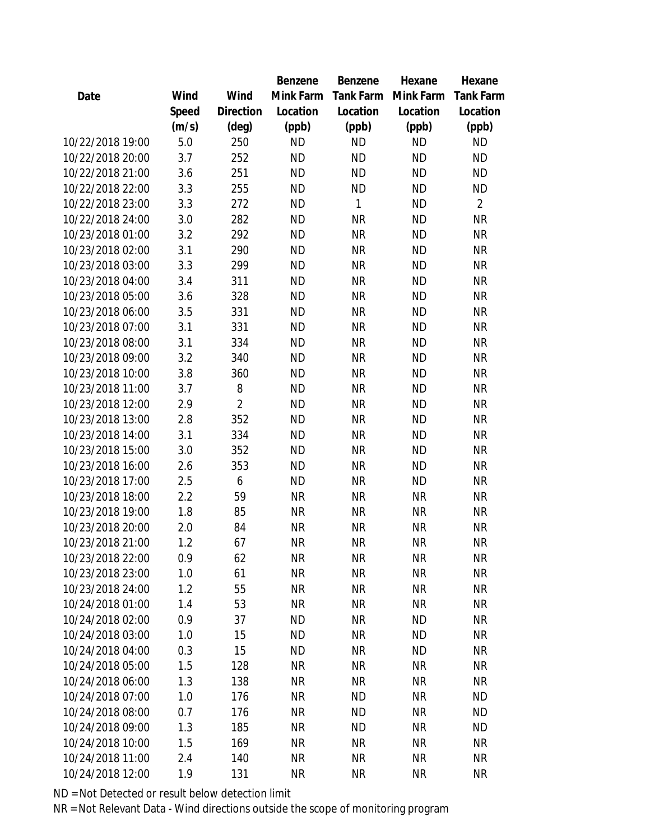|                  |       |                | Benzene   | <b>Benzene</b>   | Hexane    | Hexane           |
|------------------|-------|----------------|-----------|------------------|-----------|------------------|
| Date             | Wind  | Wind           | Mink Farm | <b>Tank Farm</b> | Mink Farm | <b>Tank Farm</b> |
|                  | Speed | Direction      | Location  | Location         | Location  | Location         |
|                  | (m/s) | $(\text{deg})$ | (ppb)     | (ppb)            | (ppb)     | (ppb)            |
| 10/22/2018 19:00 | 5.0   | 250            | <b>ND</b> | <b>ND</b>        | <b>ND</b> | <b>ND</b>        |
| 10/22/2018 20:00 | 3.7   | 252            | <b>ND</b> | <b>ND</b>        | <b>ND</b> | <b>ND</b>        |
| 10/22/2018 21:00 | 3.6   | 251            | <b>ND</b> | <b>ND</b>        | <b>ND</b> | <b>ND</b>        |
| 10/22/2018 22:00 | 3.3   | 255            | <b>ND</b> | <b>ND</b>        | <b>ND</b> | <b>ND</b>        |
| 10/22/2018 23:00 | 3.3   | 272            | <b>ND</b> | 1                | <b>ND</b> | $\overline{2}$   |
| 10/22/2018 24:00 | 3.0   | 282            | <b>ND</b> | <b>NR</b>        | <b>ND</b> | <b>NR</b>        |
| 10/23/2018 01:00 | 3.2   | 292            | <b>ND</b> | <b>NR</b>        | <b>ND</b> | <b>NR</b>        |
| 10/23/2018 02:00 | 3.1   | 290            | <b>ND</b> | <b>NR</b>        | <b>ND</b> | <b>NR</b>        |
| 10/23/2018 03:00 | 3.3   | 299            | <b>ND</b> | <b>NR</b>        | <b>ND</b> | <b>NR</b>        |
| 10/23/2018 04:00 | 3.4   | 311            | <b>ND</b> | <b>NR</b>        | <b>ND</b> | <b>NR</b>        |
| 10/23/2018 05:00 | 3.6   | 328            | <b>ND</b> | <b>NR</b>        | <b>ND</b> | <b>NR</b>        |
| 10/23/2018 06:00 | 3.5   | 331            | <b>ND</b> | <b>NR</b>        | <b>ND</b> | <b>NR</b>        |
| 10/23/2018 07:00 | 3.1   | 331            | <b>ND</b> | <b>NR</b>        | <b>ND</b> | <b>NR</b>        |
| 10/23/2018 08:00 | 3.1   | 334            | <b>ND</b> | <b>NR</b>        | <b>ND</b> | <b>NR</b>        |
| 10/23/2018 09:00 | 3.2   | 340            | <b>ND</b> | <b>NR</b>        | <b>ND</b> | <b>NR</b>        |
| 10/23/2018 10:00 | 3.8   | 360            | <b>ND</b> | <b>NR</b>        | <b>ND</b> | <b>NR</b>        |
| 10/23/2018 11:00 | 3.7   | 8              | <b>ND</b> | <b>NR</b>        | <b>ND</b> | <b>NR</b>        |
| 10/23/2018 12:00 | 2.9   | $\overline{2}$ | <b>ND</b> | <b>NR</b>        | <b>ND</b> | <b>NR</b>        |
| 10/23/2018 13:00 | 2.8   | 352            | <b>ND</b> | <b>NR</b>        | <b>ND</b> | <b>NR</b>        |
| 10/23/2018 14:00 | 3.1   | 334            | <b>ND</b> | <b>NR</b>        | <b>ND</b> | <b>NR</b>        |
| 10/23/2018 15:00 | 3.0   | 352            | <b>ND</b> | <b>NR</b>        | <b>ND</b> | <b>NR</b>        |
| 10/23/2018 16:00 | 2.6   | 353            | <b>ND</b> | <b>NR</b>        | <b>ND</b> | <b>NR</b>        |
| 10/23/2018 17:00 | 2.5   | 6              | <b>ND</b> | <b>NR</b>        | <b>ND</b> | <b>NR</b>        |
| 10/23/2018 18:00 | 2.2   | 59             | <b>NR</b> | <b>NR</b>        | <b>NR</b> | <b>NR</b>        |
| 10/23/2018 19:00 | 1.8   | 85             | <b>NR</b> | <b>NR</b>        | <b>NR</b> | <b>NR</b>        |
| 10/23/2018 20:00 | 2.0   | 84             | <b>NR</b> | <b>NR</b>        | <b>NR</b> | <b>NR</b>        |
| 10/23/2018 21:00 | 1.2   | 67             | <b>NR</b> | <b>NR</b>        | <b>NR</b> | <b>NR</b>        |
| 10/23/2018 22:00 | 0.9   | 62             | <b>NR</b> | <b>NR</b>        | <b>NR</b> | <b>NR</b>        |
| 10/23/2018 23:00 | 1.0   | 61             | <b>NR</b> | <b>NR</b>        | <b>NR</b> | <b>NR</b>        |
| 10/23/2018 24:00 | 1.2   | 55             | <b>NR</b> | <b>NR</b>        | <b>NR</b> | <b>NR</b>        |
| 10/24/2018 01:00 | 1.4   | 53             | <b>NR</b> | <b>NR</b>        | <b>NR</b> | <b>NR</b>        |
| 10/24/2018 02:00 | 0.9   | 37             | <b>ND</b> | <b>NR</b>        | <b>ND</b> | <b>NR</b>        |
| 10/24/2018 03:00 | 1.0   | 15             | <b>ND</b> | <b>NR</b>        | <b>ND</b> | <b>NR</b>        |
| 10/24/2018 04:00 | 0.3   | 15             | <b>ND</b> | <b>NR</b>        | <b>ND</b> | <b>NR</b>        |
| 10/24/2018 05:00 | 1.5   | 128            | <b>NR</b> | <b>NR</b>        | <b>NR</b> | <b>NR</b>        |
| 10/24/2018 06:00 | 1.3   | 138            | <b>NR</b> | <b>NR</b>        | <b>NR</b> | <b>NR</b>        |
| 10/24/2018 07:00 | 1.0   | 176            | <b>NR</b> | <b>ND</b>        | <b>NR</b> | <b>ND</b>        |
| 10/24/2018 08:00 | 0.7   | 176            | <b>NR</b> | <b>ND</b>        | <b>NR</b> | <b>ND</b>        |
| 10/24/2018 09:00 | 1.3   | 185            | <b>NR</b> | <b>ND</b>        | <b>NR</b> | <b>ND</b>        |
| 10/24/2018 10:00 | 1.5   | 169            | <b>NR</b> | <b>NR</b>        | <b>NR</b> | <b>NR</b>        |
| 10/24/2018 11:00 | 2.4   | 140            | <b>NR</b> | <b>NR</b>        | <b>NR</b> | <b>NR</b>        |
| 10/24/2018 12:00 | 1.9   | 131            | <b>NR</b> | <b>NR</b>        | <b>NR</b> | <b>NR</b>        |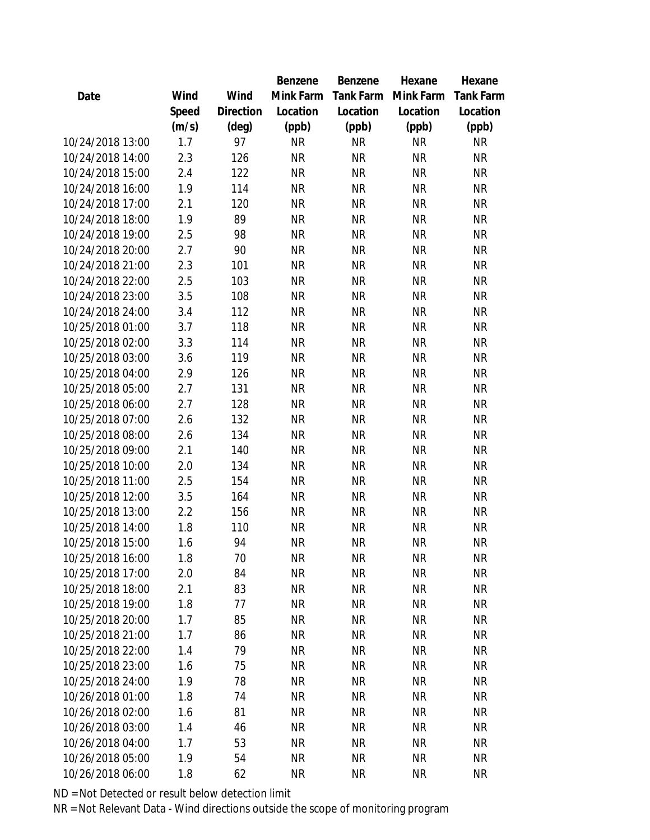|                  |       |                | Benzene   | Benzene   | Hexane    | Hexane    |
|------------------|-------|----------------|-----------|-----------|-----------|-----------|
| Date             | Wind  | Wind           | Mink Farm | Tank Farm | Mink Farm | Tank Farm |
|                  | Speed | Direction      | Location  | Location  | Location  | Location  |
|                  | (m/s) | $(\text{deg})$ | (ppb)     | (ppb)     | (ppb)     | (ppb)     |
| 10/24/2018 13:00 | 1.7   | 97             | <b>NR</b> | <b>NR</b> | <b>NR</b> | <b>NR</b> |
| 10/24/2018 14:00 | 2.3   | 126            | <b>NR</b> | <b>NR</b> | <b>NR</b> | <b>NR</b> |
| 10/24/2018 15:00 | 2.4   | 122            | <b>NR</b> | <b>NR</b> | <b>NR</b> | <b>NR</b> |
| 10/24/2018 16:00 | 1.9   | 114            | <b>NR</b> | <b>NR</b> | <b>NR</b> | <b>NR</b> |
| 10/24/2018 17:00 | 2.1   | 120            | <b>NR</b> | <b>NR</b> | <b>NR</b> | <b>NR</b> |
| 10/24/2018 18:00 | 1.9   | 89             | <b>NR</b> | <b>NR</b> | <b>NR</b> | <b>NR</b> |
| 10/24/2018 19:00 | 2.5   | 98             | <b>NR</b> | <b>NR</b> | <b>NR</b> | <b>NR</b> |
| 10/24/2018 20:00 | 2.7   | 90             | <b>NR</b> | <b>NR</b> | <b>NR</b> | <b>NR</b> |
| 10/24/2018 21:00 | 2.3   | 101            | <b>NR</b> | <b>NR</b> | <b>NR</b> | <b>NR</b> |
| 10/24/2018 22:00 | 2.5   | 103            | <b>NR</b> | <b>NR</b> | <b>NR</b> | <b>NR</b> |
| 10/24/2018 23:00 | 3.5   | 108            | <b>NR</b> | <b>NR</b> | <b>NR</b> | <b>NR</b> |
| 10/24/2018 24:00 | 3.4   | 112            | <b>NR</b> | <b>NR</b> | <b>NR</b> | <b>NR</b> |
| 10/25/2018 01:00 | 3.7   | 118            | <b>NR</b> | <b>NR</b> | <b>NR</b> | <b>NR</b> |
| 10/25/2018 02:00 | 3.3   | 114            | <b>NR</b> | <b>NR</b> | <b>NR</b> | <b>NR</b> |
| 10/25/2018 03:00 | 3.6   | 119            | <b>NR</b> | <b>NR</b> | <b>NR</b> | <b>NR</b> |
| 10/25/2018 04:00 | 2.9   | 126            | <b>NR</b> | <b>NR</b> | <b>NR</b> | <b>NR</b> |
| 10/25/2018 05:00 | 2.7   | 131            | <b>NR</b> | <b>NR</b> | <b>NR</b> | <b>NR</b> |
| 10/25/2018 06:00 | 2.7   | 128            | <b>NR</b> | <b>NR</b> | <b>NR</b> | <b>NR</b> |
| 10/25/2018 07:00 | 2.6   | 132            | <b>NR</b> | <b>NR</b> | <b>NR</b> | <b>NR</b> |
| 10/25/2018 08:00 | 2.6   | 134            | <b>NR</b> | <b>NR</b> | <b>NR</b> | <b>NR</b> |
| 10/25/2018 09:00 | 2.1   | 140            | <b>NR</b> | <b>NR</b> | <b>NR</b> | <b>NR</b> |
| 10/25/2018 10:00 | 2.0   | 134            | <b>NR</b> | <b>NR</b> | <b>NR</b> | <b>NR</b> |
| 10/25/2018 11:00 | 2.5   | 154            | <b>NR</b> | <b>NR</b> | <b>NR</b> | <b>NR</b> |
| 10/25/2018 12:00 | 3.5   | 164            | <b>NR</b> | <b>NR</b> | <b>NR</b> | <b>NR</b> |
| 10/25/2018 13:00 | 2.2   | 156            | <b>NR</b> | <b>NR</b> | <b>NR</b> | <b>NR</b> |
| 10/25/2018 14:00 | 1.8   | 110            | <b>NR</b> | <b>NR</b> | <b>NR</b> | <b>NR</b> |
| 10/25/2018 15:00 | 1.6   | 94             | <b>NR</b> | <b>NR</b> | <b>NR</b> | <b>NR</b> |
| 10/25/2018 16:00 | 1.8   | 70             | <b>NR</b> | <b>NR</b> | <b>NR</b> | <b>NR</b> |
| 10/25/2018 17:00 | 2.0   | 84             | <b>NR</b> | <b>NR</b> | <b>NR</b> | <b>NR</b> |
| 10/25/2018 18:00 | 2.1   | 83             | <b>NR</b> | NR        | <b>NR</b> | <b>NR</b> |
| 10/25/2018 19:00 | 1.8   | 77             | <b>NR</b> | <b>NR</b> | <b>NR</b> | <b>NR</b> |
| 10/25/2018 20:00 | 1.7   | 85             | <b>NR</b> | <b>NR</b> | <b>NR</b> | <b>NR</b> |
| 10/25/2018 21:00 | 1.7   | 86             | <b>NR</b> | NR        | <b>NR</b> | <b>NR</b> |
| 10/25/2018 22:00 | 1.4   | 79             | <b>NR</b> | <b>NR</b> | <b>NR</b> | <b>NR</b> |
| 10/25/2018 23:00 | 1.6   | 75             | <b>NR</b> | NR        | <b>NR</b> | <b>NR</b> |
| 10/25/2018 24:00 | 1.9   | 78             | <b>NR</b> | <b>NR</b> | <b>NR</b> | <b>NR</b> |
| 10/26/2018 01:00 | 1.8   | 74             | <b>NR</b> | <b>NR</b> | <b>NR</b> | <b>NR</b> |
| 10/26/2018 02:00 | 1.6   | 81             | <b>NR</b> | <b>NR</b> | <b>NR</b> | NR        |
| 10/26/2018 03:00 | 1.4   | 46             | <b>NR</b> | <b>NR</b> | <b>NR</b> | <b>NR</b> |
| 10/26/2018 04:00 | 1.7   | 53             | <b>NR</b> | <b>NR</b> | <b>NR</b> | <b>NR</b> |
| 10/26/2018 05:00 | 1.9   | 54             | <b>NR</b> | <b>NR</b> | <b>NR</b> | <b>NR</b> |
| 10/26/2018 06:00 | 1.8   | 62             | <b>NR</b> | <b>NR</b> | <b>NR</b> | <b>NR</b> |
|                  |       |                |           |           |           |           |